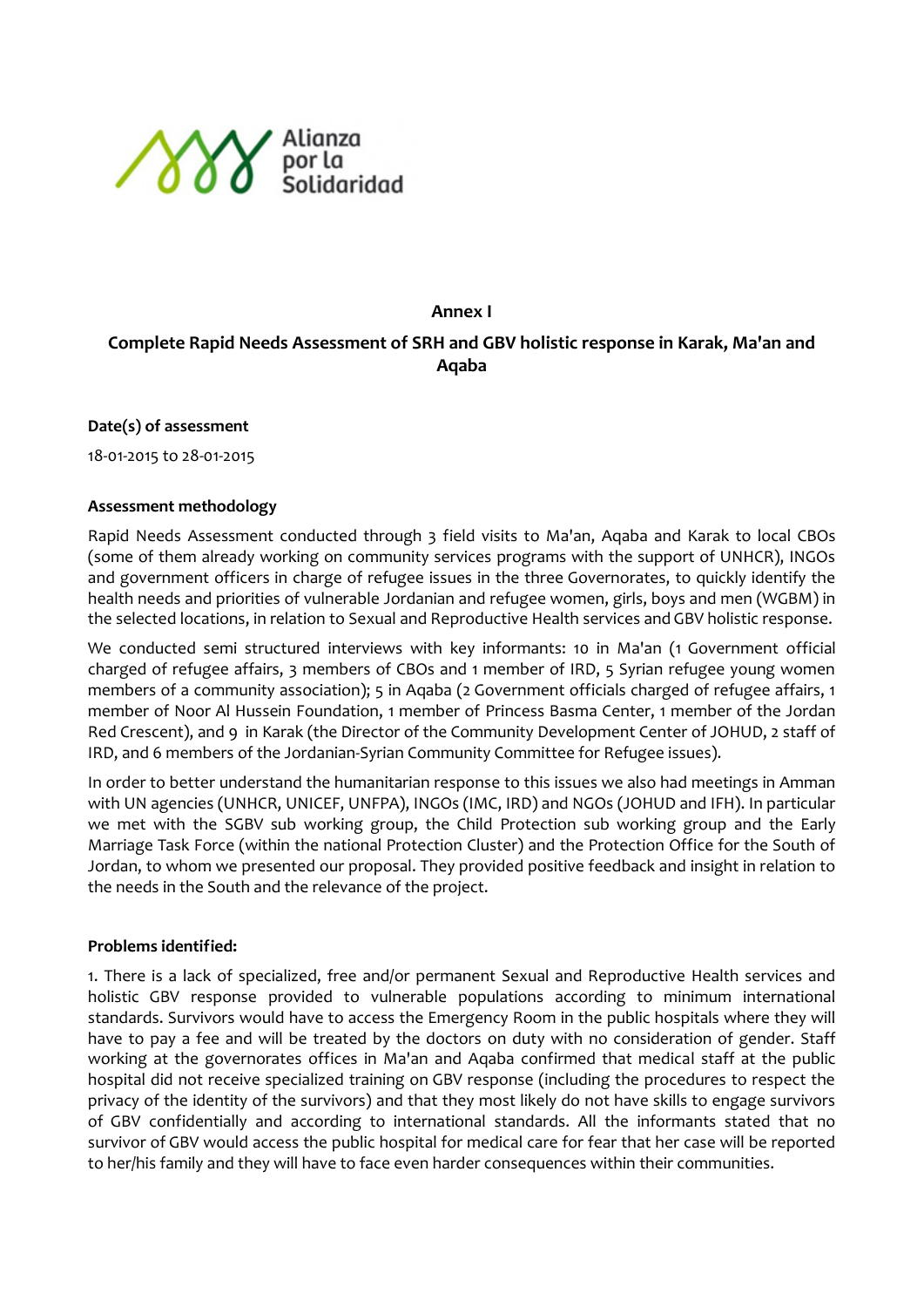

# **Annex I**

# **Complete Rapid Needs Assessment of SRH and GBV holistic response in Karak, Ma'an and Aqaba**

**Date(s) of assessment**

18-01-2015 to 28-01-2015

#### **Assessment methodology**

Rapid Needs Assessment conducted through 3 field visits to Ma'an, Aqaba and Karak to local CBOs (some of them already working on community services programs with the support of UNHCR), INGOs and government officers in charge of refugee issues in the three Governorates, to quickly identify the health needs and priorities of vulnerable Jordanian and refugee women, girls, boys and men (WGBM) in the selected locations, in relation to Sexual and Reproductive Health services and GBV holistic response.

We conducted semi structured interviews with key informants: 10 in Ma'an (1 Government official charged of refugee affairs, 3 members of CBOs and 1 member of IRD, 5 Syrian refugee young women members of a community association); 5 in Aqaba (2 Government officials charged of refugee affairs, 1 member of Noor Al Hussein Foundation, 1 member of Princess Basma Center, 1 member of the Jordan Red Crescent), and 9 in Karak (the Director of the Community Development Center of JOHUD, 2 staff of IRD, and 6 members of the Jordanian-Syrian Community Committee for Refugee issues).

In order to better understand the humanitarian response to this issues we also had meetings in Amman with UN agencies (UNHCR, UNICEF, UNFPA), INGOs (IMC, IRD) and NGOs (JOHUD and IFH). In particular we met with the SGBV sub working group, the Child Protection sub working group and the Early Marriage Task Force (within the national Protection Cluster) and the Protection Office for the South of Jordan, to whom we presented our proposal. They provided positive feedback and insight in relation to the needs in the South and the relevance of the project.

#### **Problems identified:**

1. There is a lack of specialized, free and/or permanent Sexual and Reproductive Health services and holistic GBV response provided to vulnerable populations according to minimum international standards. Survivors would have to access the Emergency Room in the public hospitals where they will have to pay a fee and will be treated by the doctors on duty with no consideration of gender. Staff working at the governorates offices in Ma'an and Aqaba confirmed that medical staff at the public hospital did not receive specialized training on GBV response (including the procedures to respect the privacy of the identity of the survivors) and that they most likely do not have skills to engage survivors of GBV confidentially and according to international standards. All the informants stated that no survivor of GBV would access the public hospital for medical care for fear that her case will be reported to her/his family and they will have to face even harder consequences within their communities.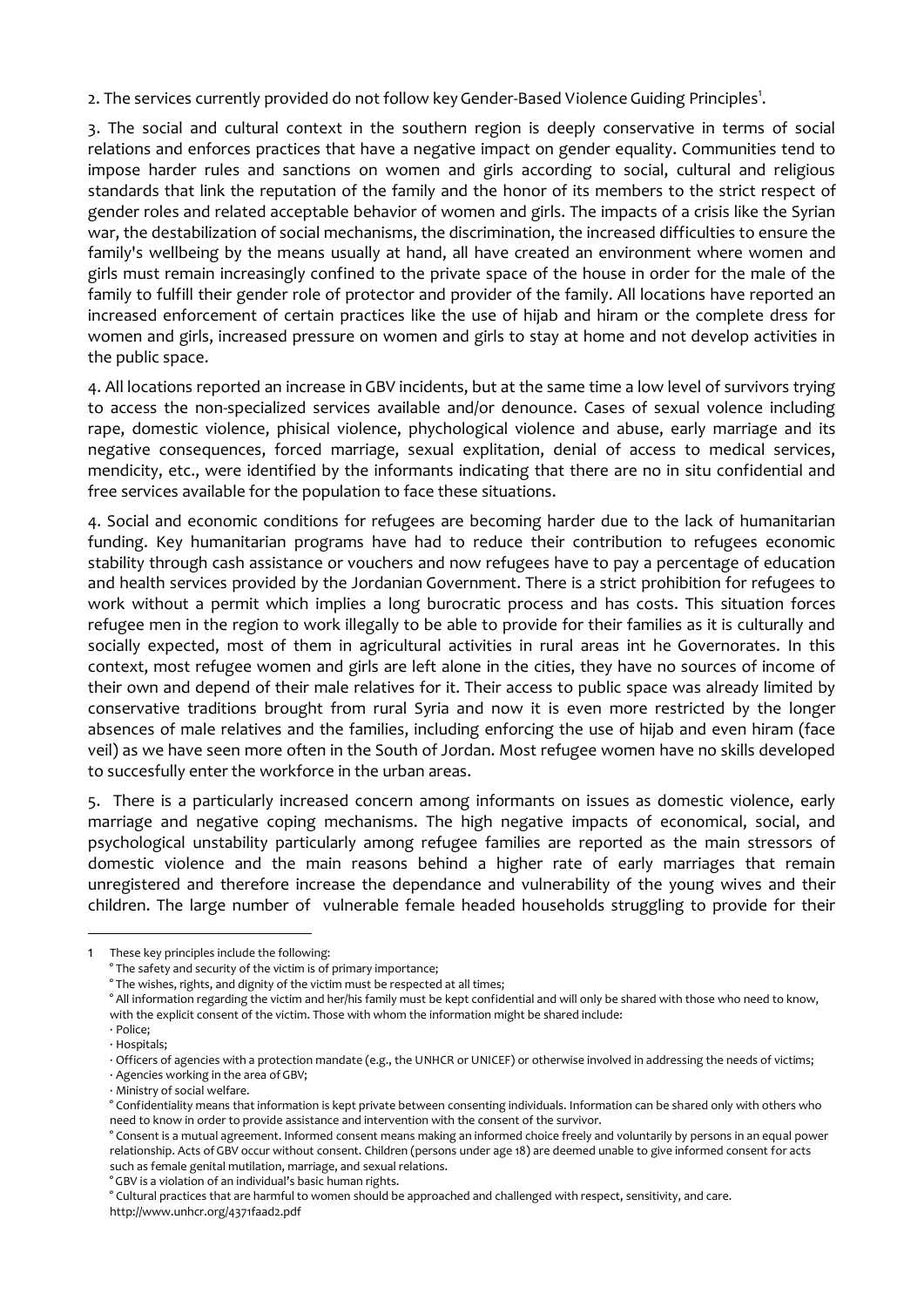2. The services currently provided do not follow key Gender-Based Violence Guiding Principles<sup>1</sup>.

3. The social and cultural context in the southern region is deeply conservative in terms of social relations and enforces practices that have a negative impact on gender equality. Communities tend to impose harder rules and sanctions on women and girls according to social, cultural and religious standards that link the reputation of the family and the honor of its members to the strict respect of gender roles and related acceptable behavior of women and girls. The impacts of a crisis like the Syrian war, the destabilization of social mechanisms, the discrimination, the increased difficulties to ensure the family's wellbeing by the means usually at hand, all have created an environment where women and girls must remain increasingly confined to the private space of the house in order for the male of the family to fulfill their gender role of protector and provider of the family. All locations have reported an increased enforcement of certain practices like the use of hijab and hiram or the complete dress for women and girls, increased pressure on women and girls to stay at home and not develop activities in the public space.

4. All locations reported an increase in GBV incidents, but at the same time a low level of survivors trying to access the non-specialized services available and/or denounce. Cases of sexual volence including rape, domestic violence, phisical violence, phychological violence and abuse, early marriage and its negative consequences, forced marriage, sexual explitation, denial of access to medical services, mendicity, etc., were identified by the informants indicating that there are no in situ confidential and free services available for the population to face these situations.

4. Social and economic conditions for refugees are becoming harder due to the lack of humanitarian funding. Key humanitarian programs have had to reduce their contribution to refugees economic stability through cash assistance or vouchers and now refugees have to pay a percentage of education and health services provided by the Jordanian Government. There is a strict prohibition for refugees to work without a permit which implies a long burocratic process and has costs. This situation forces refugee men in the region to work illegally to be able to provide for their families as it is culturally and socially expected, most of them in agricultural activities in rural areas int he Governorates. In this context, most refugee women and girls are left alone in the cities, they have no sources of income of their own and depend of their male relatives for it. Their access to public space was already limited by conservative traditions brought from rural Syria and now it is even more restricted by the longer absences of male relatives and the families, including enforcing the use of hijab and even hiram (face veil) as we have seen more often in the South of Jordan. Most refugee women have no skills developed to succesfully enter the workforce in the urban areas.

5. There is a particularly increased concern among informants on issues as domestic violence, early marriage and negative coping mechanisms. The high negative impacts of economical, social, and psychological unstability particularly among refugee families are reported as the main stressors of domestic violence and the main reasons behind a higher rate of early marriages that remain unregistered and therefore increase the dependance and vulnerability of the young wives and their children. The large number of vulnerable female headed households struggling to provide for their

1

° GBV is a violation of an individual's basic human rights.

<sup>1</sup> These key principles include the following:

<sup>°</sup> The safety and security of the victim is of primary importance;

<sup>°</sup> The wishes, rights, and dignity of the victim must be respected at all times;

<sup>°</sup> All information regarding the victim and her/his family must be kept confidential and will only be shared with those who need to know, with the explicit consent of the victim. Those with whom the information might be shared include:

<sup>·</sup> Police; · Hospitals;

<sup>·</sup> Officers of agencies with a protection mandate (e.g., the UNHCR or UNICEF) or otherwise involved in addressing the needs of victims;

<sup>·</sup> Agencies working in the area of GBV;

<sup>·</sup> Ministry of social welfare.

<sup>°</sup> Confidentiality means that information is kept private between consenting individuals. Information can be shared only with others who need to know in order to provide assistance and intervention with the consent of the survivor.

<sup>°</sup> Consent is a mutual agreement. Informed consent means making an informed choice freely and voluntarily by persons in an equal power relationship. Acts of GBV occur without consent. Children (persons under age 18) are deemed unable to give informed consent for acts such as female genital mutilation, marriage, and sexual relations.

<sup>°</sup> Cultural practices that are harmful to women should be approached and challenged with respect, sensitivity, and care. http://www.unhcr.org/4371faad2.pdf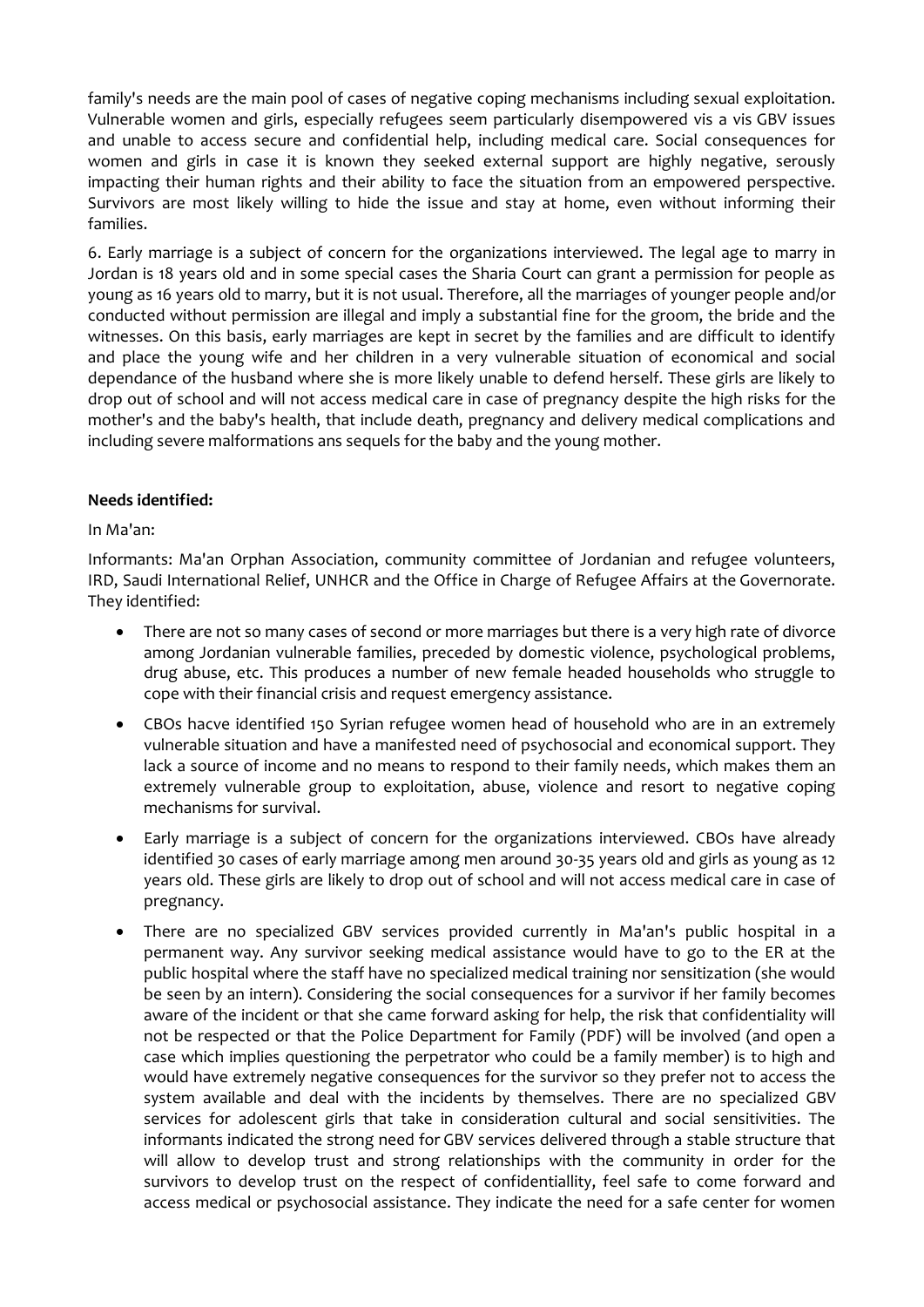family's needs are the main pool of cases of negative coping mechanisms including sexual exploitation. Vulnerable women and girls, especially refugees seem particularly disempowered vis a vis GBV issues and unable to access secure and confidential help, including medical care. Social consequences for women and girls in case it is known they seeked external support are highly negative, serously impacting their human rights and their ability to face the situation from an empowered perspective. Survivors are most likely willing to hide the issue and stay at home, even without informing their families.

6. Early marriage is a subject of concern for the organizations interviewed. The legal age to marry in Jordan is 18 years old and in some special cases the Sharia Court can grant a permission for people as young as 16 years old to marry, but it is not usual. Therefore, all the marriages of younger people and/or conducted without permission are illegal and imply a substantial fine for the groom, the bride and the witnesses. On this basis, early marriages are kept in secret by the families and are difficult to identify and place the young wife and her children in a very vulnerable situation of economical and social dependance of the husband where she is more likely unable to defend herself. These girls are likely to drop out of school and will not access medical care in case of pregnancy despite the high risks for the mother's and the baby's health, that include death, pregnancy and delivery medical complications and including severe malformations ans sequels for the baby and the young mother.

# **Needs identified:**

# In Ma'an:

Informants: Ma'an Orphan Association, community committee of Jordanian and refugee volunteers, IRD, Saudi International Relief, UNHCR and the Office in Charge of Refugee Affairs at the Governorate. They identified:

- There are not so many cases of second or more marriages but there is a very high rate of divorce among Jordanian vulnerable families, preceded by domestic violence, psychological problems, drug abuse, etc. This produces a number of new female headed households who struggle to cope with their financial crisis and request emergency assistance.
- CBOs hacve identified 150 Syrian refugee women head of household who are in an extremely vulnerable situation and have a manifested need of psychosocial and economical support. They lack a source of income and no means to respond to their family needs, which makes them an extremely vulnerable group to exploitation, abuse, violence and resort to negative coping mechanisms for survival.
- Early marriage is a subject of concern for the organizations interviewed. CBOs have already identified 30 cases of early marriage among men around 30-35 years old and girls as young as 12 years old. These girls are likely to drop out of school and will not access medical care in case of pregnancy.
- There are no specialized GBV services provided currently in Ma'an's public hospital in a permanent way. Any survivor seeking medical assistance would have to go to the ER at the public hospital where the staff have no specialized medical training nor sensitization (she would be seen by an intern). Considering the social consequences for a survivor if her family becomes aware of the incident or that she came forward asking for help, the risk that confidentiality will not be respected or that the Police Department for Family (PDF) will be involved (and open a case which implies questioning the perpetrator who could be a family member) is to high and would have extremely negative consequences for the survivor so they prefer not to access the system available and deal with the incidents by themselves. There are no specialized GBV services for adolescent girls that take in consideration cultural and social sensitivities. The informants indicated the strong need for GBV services delivered through a stable structure that will allow to develop trust and strong relationships with the community in order for the survivors to develop trust on the respect of confidentiallity, feel safe to come forward and access medical or psychosocial assistance. They indicate the need for a safe center for women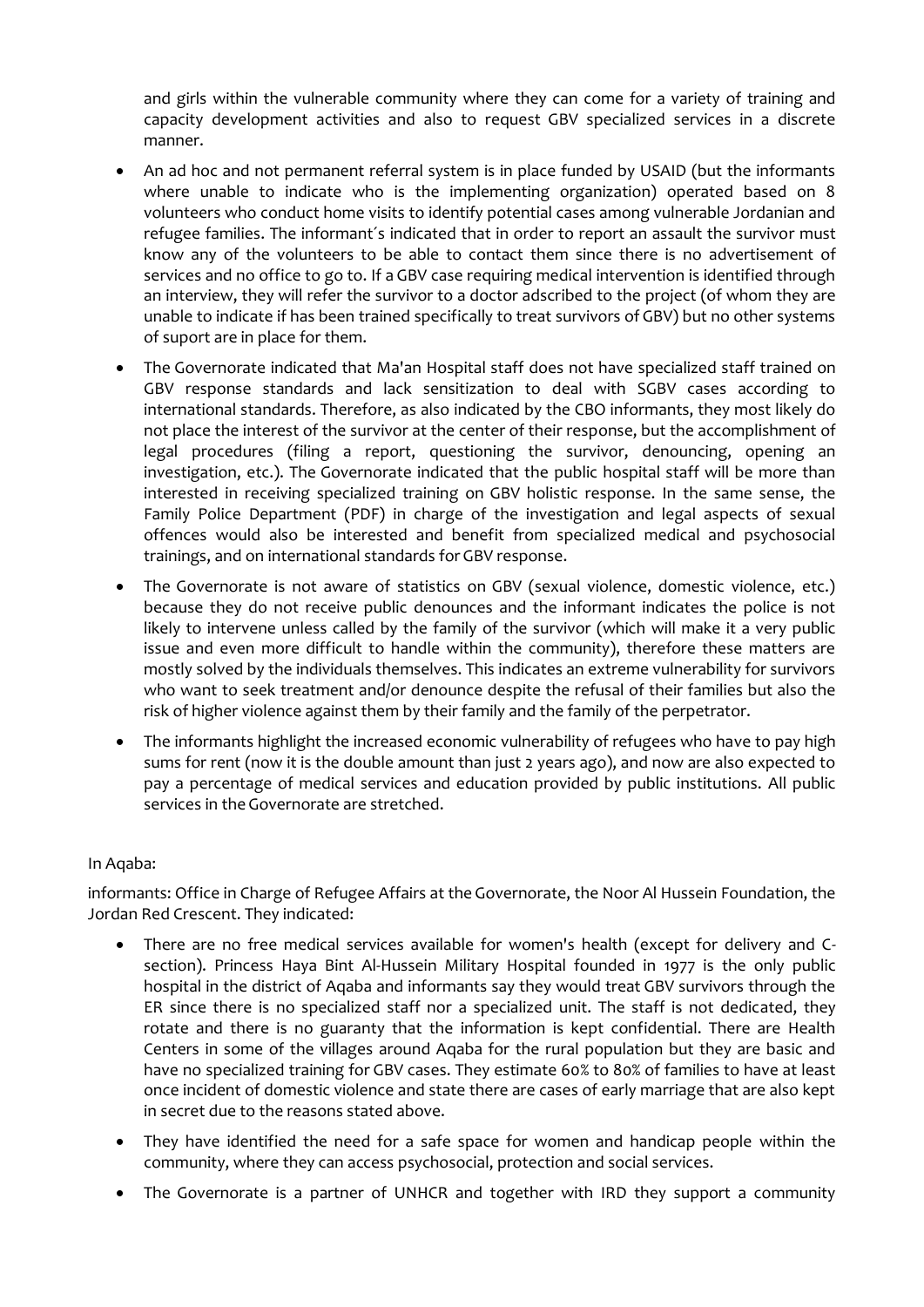and girls within the vulnerable community where they can come for a variety of training and capacity development activities and also to request GBV specialized services in a discrete manner.

- An ad hoc and not permanent referral system is in place funded by USAID (but the informants where unable to indicate who is the implementing organization) operated based on 8 volunteers who conduct home visits to identify potential cases among vulnerable Jordanian and refugee families. The informant´s indicated that in order to report an assault the survivor must know any of the volunteers to be able to contact them since there is no advertisement of services and no office to go to. If a GBV case requiring medical intervention is identified through an interview, they will refer the survivor to a doctor adscribed to the project (of whom they are unable to indicate if has been trained specifically to treat survivors of GBV) but no other systems of suport are in place for them.
- The Governorate indicated that Ma'an Hospital staff does not have specialized staff trained on GBV response standards and lack sensitization to deal with SGBV cases according to international standards. Therefore, as also indicated by the CBO informants, they most likely do not place the interest of the survivor at the center of their response, but the accomplishment of legal procedures (filing a report, questioning the survivor, denouncing, opening an investigation, etc.). The Governorate indicated that the public hospital staff will be more than interested in receiving specialized training on GBV holistic response. In the same sense, the Family Police Department (PDF) in charge of the investigation and legal aspects of sexual offences would also be interested and benefit from specialized medical and psychosocial trainings, and on international standards for GBV response.
- The Governorate is not aware of statistics on GBV (sexual violence, domestic violence, etc.) because they do not receive public denounces and the informant indicates the police is not likely to intervene unless called by the family of the survivor (which will make it a very public issue and even more difficult to handle within the community), therefore these matters are mostly solved by the individuals themselves. This indicates an extreme vulnerability for survivors who want to seek treatment and/or denounce despite the refusal of their families but also the risk of higher violence against them by their family and the family of the perpetrator.
- The informants highlight the increased economic vulnerability of refugees who have to pay high sums for rent (now it is the double amount than just 2 years ago), and now are also expected to pay a percentage of medical services and education provided by public institutions. All public services in the Governorate are stretched.

# In Aqaba:

informants: Office in Charge of Refugee Affairs at the Governorate, the Noor Al Hussein Foundation, the Jordan Red Crescent. They indicated:

- There are no free medical services available for women's health (except for delivery and Csection). Princess Haya Bint Al-Hussein Military Hospital founded in 1977 is the only public hospital in the district of Aqaba and informants say they would treat GBV survivors through the ER since there is no specialized staff nor a specialized unit. The staff is not dedicated, they rotate and there is no guaranty that the information is kept confidential. There are Health Centers in some of the villages around Aqaba for the rural population but they are basic and have no specialized training for GBV cases. They estimate 60% to 80% of families to have at least once incident of domestic violence and state there are cases of early marriage that are also kept in secret due to the reasons stated above.
- They have identified the need for a safe space for women and handicap people within the community, where they can access psychosocial, protection and social services.
- The Governorate is a partner of UNHCR and together with IRD they support a community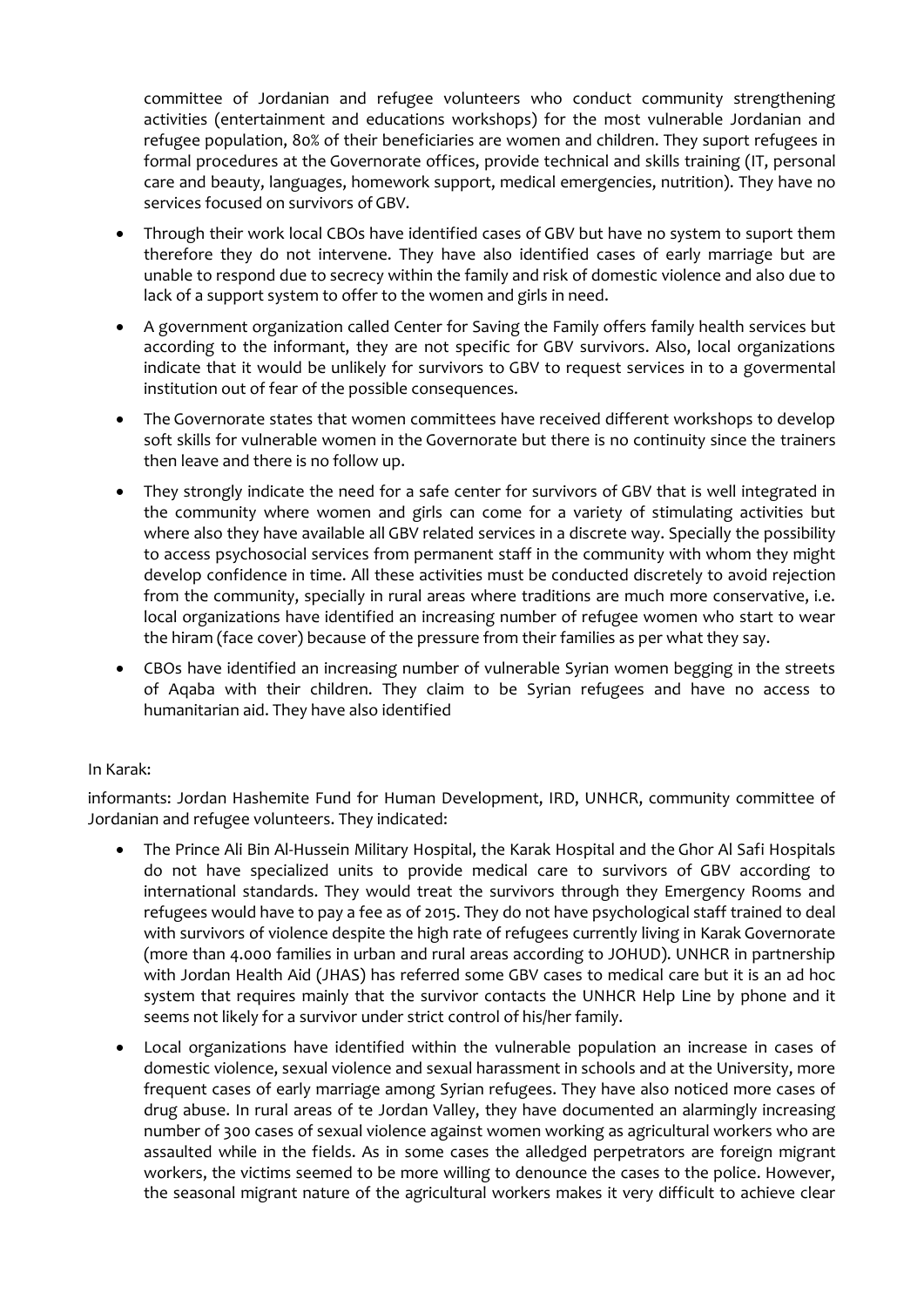committee of Jordanian and refugee volunteers who conduct community strengthening activities (entertainment and educations workshops) for the most vulnerable Jordanian and refugee population, 80% of their beneficiaries are women and children. They suport refugees in formal procedures at the Governorate offices, provide technical and skills training (IT, personal care and beauty, languages, homework support, medical emergencies, nutrition). They have no services focused on survivors of GBV.

- Through their work local CBOs have identified cases of GBV but have no system to suport them therefore they do not intervene. They have also identified cases of early marriage but are unable to respond due to secrecy within the family and risk of domestic violence and also due to lack of a support system to offer to the women and girls in need.
- A government organization called Center for Saving the Family offers family health services but according to the informant, they are not specific for GBV survivors. Also, local organizations indicate that it would be unlikely for survivors to GBV to request services in to a govermental institution out of fear of the possible consequences.
- The Governorate states that women committees have received different workshops to develop soft skills for vulnerable women in the Governorate but there is no continuity since the trainers then leave and there is no follow up.
- They strongly indicate the need for a safe center for survivors of GBV that is well integrated in the community where women and girls can come for a variety of stimulating activities but where also they have available all GBV related services in a discrete way. Specially the possibility to access psychosocial services from permanent staff in the community with whom they might develop confidence in time. All these activities must be conducted discretely to avoid rejection from the community, specially in rural areas where traditions are much more conservative, i.e. local organizations have identified an increasing number of refugee women who start to wear the hiram (face cover) because of the pressure from their families as per what they say.
- CBOs have identified an increasing number of vulnerable Syrian women begging in the streets of Aqaba with their children. They claim to be Syrian refugees and have no access to humanitarian aid. They have also identified

# In Karak:

informants: Jordan Hashemite Fund for Human Development, IRD, UNHCR, community committee of Jordanian and refugee volunteers. They indicated:

- The Prince Ali Bin Al-Hussein Military Hospital, the Karak Hospital and the Ghor Al Safi Hospitals do not have specialized units to provide medical care to survivors of GBV according to international standards. They would treat the survivors through they Emergency Rooms and refugees would have to pay a fee as of 2015. They do not have psychological staff trained to deal with survivors of violence despite the high rate of refugees currently living in Karak Governorate (more than 4.000 families in urban and rural areas according to JOHUD). UNHCR in partnership with Jordan Health Aid (JHAS) has referred some GBV cases to medical care but it is an ad hoc system that requires mainly that the survivor contacts the UNHCR Help Line by phone and it seems not likely for a survivor under strict control of his/her family.
- Local organizations have identified within the vulnerable population an increase in cases of domestic violence, sexual violence and sexual harassment in schools and at the University, more frequent cases of early marriage among Syrian refugees. They have also noticed more cases of drug abuse. In rural areas of te Jordan Valley, they have documented an alarmingly increasing number of 300 cases of sexual violence against women working as agricultural workers who are assaulted while in the fields. As in some cases the alledged perpetrators are foreign migrant workers, the victims seemed to be more willing to denounce the cases to the police. However, the seasonal migrant nature of the agricultural workers makes it very difficult to achieve clear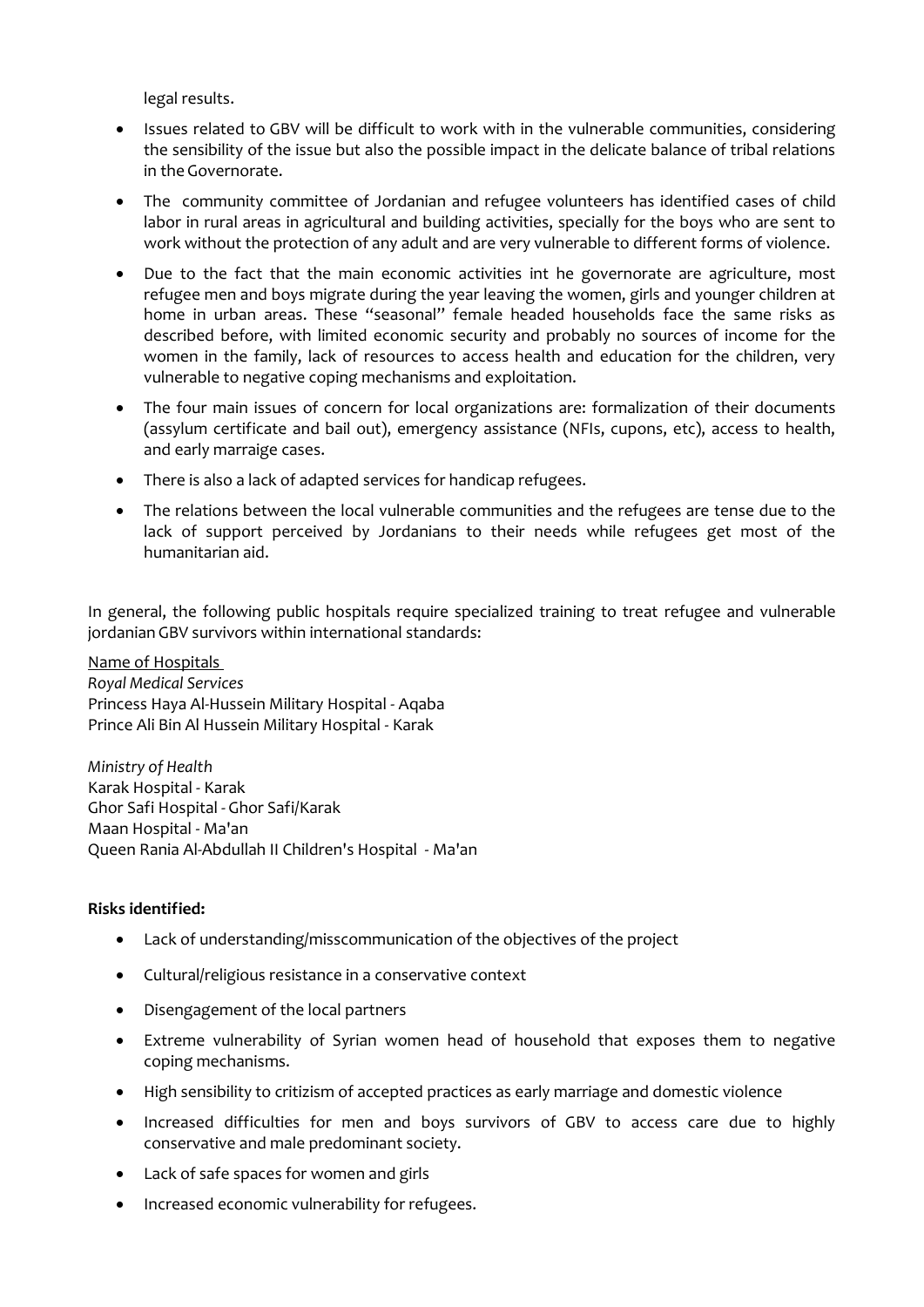legal results.

- Issues related to GBV will be difficult to work with in the vulnerable communities, considering the sensibility of the issue but also the possible impact in the delicate balance of tribal relations in the Governorate.
- The community committee of Jordanian and refugee volunteers has identified cases of child labor in rural areas in agricultural and building activities, specially for the boys who are sent to work without the protection of any adult and are very vulnerable to different forms of violence.
- Due to the fact that the main economic activities int he governorate are agriculture, most refugee men and boys migrate during the year leaving the women, girls and younger children at home in urban areas. These "seasonal" female headed households face the same risks as described before, with limited economic security and probably no sources of income for the women in the family, lack of resources to access health and education for the children, very vulnerable to negative coping mechanisms and exploitation.
- The four main issues of concern for local organizations are: formalization of their documents (assylum certificate and bail out), emergency assistance (NFIs, cupons, etc), access to health, and early marraige cases.
- There is also a lack of adapted services for handicap refugees.
- The relations between the local vulnerable communities and the refugees are tense due to the lack of support perceived by Jordanians to their needs while refugees get most of the humanitarian aid.

In general, the following public hospitals require specialized training to treat refugee and vulnerable jordanian GBV survivors within international standards:

Name of Hospitals *Royal Medical Services*  Princess Haya Al-Hussein Military Hospital - Aqaba Prince Ali Bin Al Hussein Military Hospital - Karak

*Ministry of Health*  Karak Hospital - Karak Ghor Safi Hospital - Ghor Safi/Karak Maan Hospital - Ma'an Queen Rania Al-Abdullah II Children's Hospital - Ma'an

#### **Risks identified:**

- Lack of understanding/misscommunication of the objectives of the project
- Cultural/religious resistance in a conservative context
- Disengagement of the local partners
- Extreme vulnerability of Syrian women head of household that exposes them to negative coping mechanisms.
- High sensibility to critizism of accepted practices as early marriage and domestic violence
- Increased difficulties for men and boys survivors of GBV to access care due to highly conservative and male predominant society.
- Lack of safe spaces for women and girls
- Increased economic vulnerability for refugees.